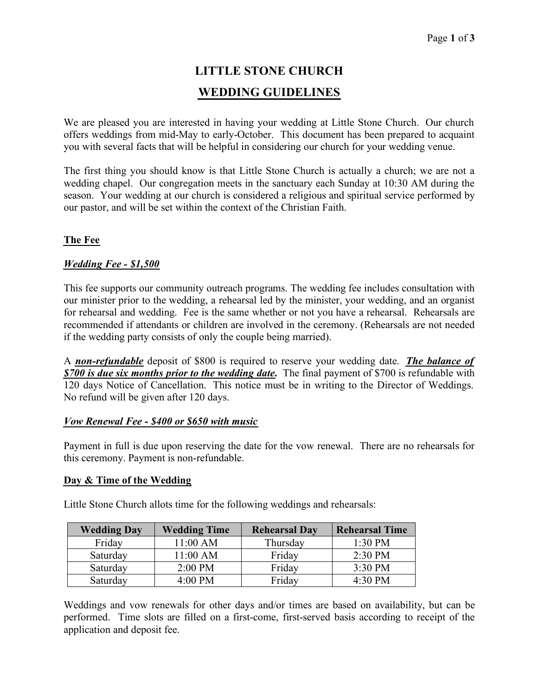# **LITTLE STONE CHURCH WEDDING GUIDELINES**

We are pleased you are interested in having your wedding at Little Stone Church. Our church offers weddings from mid-May to early-October. This document has been prepared to acquaint you with several facts that will be helpful in considering our church for your wedding venue.

The first thing you should know is that Little Stone Church is actually a church; we are not a wedding chapel. Our congregation meets in the sanctuary each Sunday at 10:30 AM during the season. Your wedding at our church is considered a religious and spiritual service performed by our pastor, and will be set within the context of the Christian Faith.

# **The Fee**

## *Wedding Fee - \$1,500*

This fee supports our community outreach programs. The wedding fee includes consultation with our minister prior to the wedding, a rehearsal led by the minister, your wedding, and an organist for rehearsal and wedding. Fee is the same whether or not you have a rehearsal. Rehearsals are recommended if attendants or children are involved in the ceremony. (Rehearsals are not needed if the wedding party consists of only the couple being married).

A *non-refundable* deposit of \$800 is required to reserve your wedding date. *The balance of \$700 is due six months prior to the wedding date***.** The final payment of \$700 is refundable with 120 days Notice of Cancellation. This notice must be in writing to the Director of Weddings. No refund will be given after 120 days.

### *Vow Renewal Fee - \$400 or \$650 with music*

Payment in full is due upon reserving the date for the vow renewal. There are no rehearsals for this ceremony. Payment is non-refundable.

### **Day & Time of the Wedding**

| <b>Wedding Day</b> | <b>Wedding Time</b> | <b>Rehearsal Day</b> | <b>Rehearsal Time</b> |
|--------------------|---------------------|----------------------|-----------------------|
| Friday             | 11:00 AM            | Thursday             | $1:30$ PM             |
| Saturday           | 11:00 AM            | Friday               | 2:30 PM               |
| Saturday           | $2:00$ PM           | Friday               | 3:30 PM               |
| Saturday           | $4:00 \text{ PM}$   | Friday               | 4:30 PM               |

Little Stone Church allots time for the following weddings and rehearsals:

Weddings and vow renewals for other days and/or times are based on availability, but can be performed. Time slots are filled on a first-come, first-served basis according to receipt of the application and deposit fee.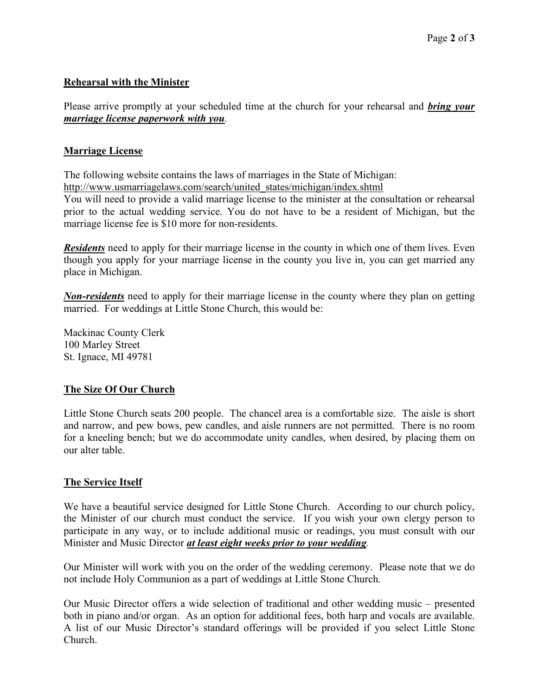## **Rehearsal with the Minister**

Please arrive promptly at your scheduled time at the church for your rehearsal and *bring your marriage license paperwork with you.*

## **Marriage License**

The following website contains the laws of marriages in the State of Michigan: http://www.usmarriagelaws.com/search/united\_states/michigan/index.shtml

You will need to provide a valid marriage license to the minister at the consultation or rehearsal prior to the actual wedding service. You do not have to be a resident of Michigan, but the marriage license fee is \$10 more for non-residents.

*Residents* need to apply for their marriage license in the county in which one of them lives. Even though you apply for your marriage license in the county you live in, you can get married any place in Michigan.

*Non-residents* need to apply for their marriage license in the county where they plan on getting married. For weddings at Little Stone Church, this would be:

Mackinac County Clerk 100 Marley Street St. Ignace, MI 49781

## **The Size Of Our Church**

Little Stone Church seats 200 people. The chancel area is a comfortable size. The aisle is short and narrow, and pew bows, pew candles, and aisle runners are not permitted. There is no room for a kneeling bench; but we do accommodate unity candles, when desired, by placing them on our alter table.

## **The Service Itself**

We have a beautiful service designed for Little Stone Church. According to our church policy, the Minister of our church must conduct the service. If you wish your own clergy person to participate in any way, or to include additional music or readings, you must consult with our Minister and Music Director *at least eight weeks prior to your wedding.*

Our Minister will work with you on the order of the wedding ceremony. Please note that we do not include Holy Communion as a part of weddings at Little Stone Church.

Our Music Director offers a wide selection of traditional and other wedding music – presented both in piano and/or organ. As an option for additional fees, both harp and vocals are available. A list of our Music Director's standard offerings will be provided if you select Little Stone Church.